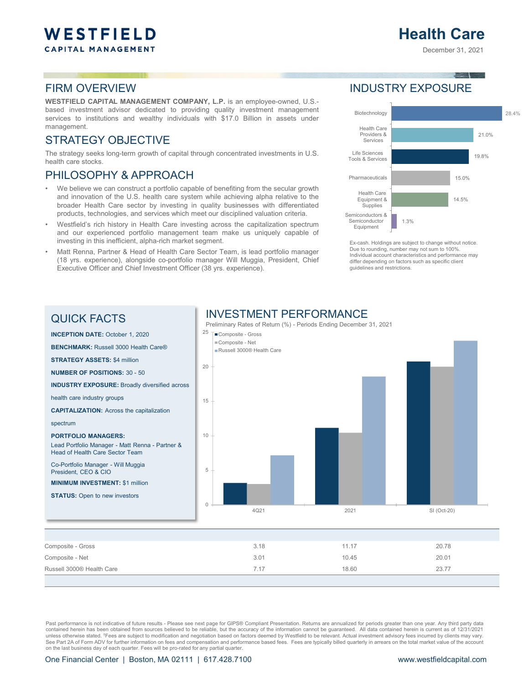# **Health Care**

December 31, 2021

### FIRM OVERVIEW

**WESTFIELD CAPITAL MANAGEMENT COMPANY, L.P.** is an employee-owned, U.S. based investment advisor dedicated to providing quality investment management services to institutions and wealthy individuals with \$17.0 Billion in assets under management.

### STRATEGY OBJECTIVE

The strategy seeks long-term growth of capital through concentrated investments in U.S. health care stocks.

### PHILOSOPHY & APPROACH

- We believe we can construct a portfolio capable of benefiting from the secular growth and innovation of the U.S. health care system while achieving alpha relative to the broader Health Care sector by investing in quality businesses with differentiated products, technologies, and services which meet our disciplined valuation criteria.
- Westfield's rich history in Health Care investing across the capitalization spectrum and our experienced portfolio management team make us uniquely capable of investing in this inefficient, alpha-rich market segment.
- Matt Renna, Partner & Head of Health Care Sector Team, is lead portfolio manager (18 yrs. experience), alongside co-portfolio manager Will Muggia, President, Chief Executive Officer and Chief Investment Officer (38 yrs. experience).

### INDUSTRY EXPOSURE



Ex-cash. Holdings are subject to change without notice. Due to rounding, number may not sum to 100%. Individual account characteristics and performance may differ depending on factors such as specific client guidelines and restrictions.

#### QUICK FACTS

**INCEPTION DATE:** October 1, 2020 **BENCHMARK:** Russell 3000 Health Care®

**STRATEGY ASSETS:** \$4 million

**NUMBER OF POSITIONS:** 30 - 50

**INDUSTRY EXPOSURE:** Broadly diversified across

health care industry groups

**CAPITALIZATION:** Across the capitalization

spectrum

#### **PORTFOLIO MANAGERS:**

Lead Portfolio Manager - Matt Renna - Partner & Head of Health Care Sector Team

Co-Portfolio Manager - Will Muggia President, CEO & CIO

**MINIMUM INVESTMENT:** \$1 million

**STATUS:** Open to new investors



| Composite - Gross         | 3.18 | 11.17 | 20.78 |
|---------------------------|------|-------|-------|
| Composite - Net           | 3.01 | 10.45 | 20.01 |
| Russell 3000® Health Care | 7.17 | 18.60 | 23.77 |
|                           |      |       |       |

Past performance is not indicative of future results - Please see next page for GIPS® Compliant Presentation. Returns are annualized for periods greater than one year. Any third party data contained herein has been obtained from sources believed to be reliable, but the accuracy of the information cannot be guaranteed. All data contained herein is current as of 12/31/2021 unless otherwise stated. †Fees are subject to modification and negotiation based on factors deemed by Westfield to be relevant. Actual investment advisory fees incurred by clients may vary. See Part 2A of Form ADV for further information on fees and compensation and performance based fees. Fees are typically billed quarterly in arrears on the total market value of the account on the last business day of each quarter. Fees will be pro-rated for any partial quarter.